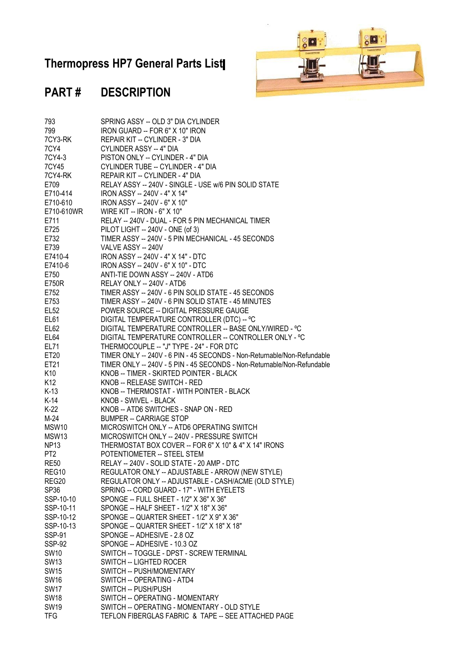## **Thermopress HP7 General Parts List**



## **PART # DESCRIPTION**

| 793               | SPRING ASSY -- OLD 3" DIA CYLINDER                                      |
|-------------------|-------------------------------------------------------------------------|
| 799               | IRON GUARD -- FOR 6" X 10" IRON                                         |
| 7CY3-RK           | REPAIR KIT -- CYLINDER - 3" DIA                                         |
| 7CY4              | CYLINDER ASSY -- 4" DIA                                                 |
| 7CY4-3            | PISTON ONLY -- CYLINDER - 4" DIA                                        |
| 7CY45             | CYLINDER TUBE -- CYLINDER - 4" DIA                                      |
| 7CY4-RK           | REPAIR KIT -- CYLINDER - 4" DIA                                         |
| E709              | RELAY ASSY -- 240V - SINGLE - USE w/6 PIN SOLID STATE                   |
| E710-414          | IRON ASSY -- 240V - 4" X 14"                                            |
| E710-610          | IRON ASSY -- 240V - 6" X 10"                                            |
| E710-610WR        | WIRE KIT -- IRON - 6" X 10"                                             |
| E711              | RELAY -- 240V - DUAL - FOR 5 PIN MECHANICAL TIMER                       |
| E725              | PILOT LIGHT -- 240V - ONE (of 3)                                        |
| E732              | TIMER ASSY -- 240V - 5 PIN MECHANICAL - 45 SECONDS                      |
| E739              | VALVE ASSY -- 240V                                                      |
| E7410-4           | IRON ASSY -- 240V - 4" X 14" - DTC                                      |
| E7410-6           | IRON ASSY -- 240V - 6" X 10" - DTC                                      |
| E750              | ANTI-TIE DOWN ASSY -- 240V - ATD6                                       |
| E750R             | RELAY ONLY -- 240V - ATD6                                               |
| E752              | TIMER ASSY -- 240V - 6 PIN SOLID STATE - 45 SECONDS                     |
| E753              | TIMER ASSY -- 240V - 6 PIN SOLID STATE - 45 MINUTES                     |
| <b>EL52</b>       | POWER SOURCE -- DIGITAL PRESSURE GAUGE                                  |
| EL61              | DIGITAL TEMPERATURE CONTROLLER (DTC) -- °C                              |
| <b>EL62</b>       | DIGITAL TEMPERATURE CONTROLLER -- BASE ONLY/WIRED - °C                  |
| <b>EL64</b>       | DIGITAL TEMPERATURE CONTROLLER -- CONTROLLER ONLY - °C                  |
| <b>EL71</b>       | THERMOCOUPLE -- "J" TYPE - 24" - FOR DTC                                |
| ET20              | TIMER ONLY -- 240V - 6 PIN - 45 SECONDS - Non-Returnable/Non-Refundable |
| ET21              | TIMER ONLY -- 240V - 5 PIN - 45 SECONDS - Non-Returnable/Non-Refundable |
| K10               | KNOB -- TIMER - SKIRTED POINTER - BLACK                                 |
| K12               | KNOB -- RELEASE SWITCH - RED                                            |
| $K-13$            | KNOB -- THERMOSTAT - WITH POINTER - BLACK                               |
| K-14              | KNOB - SWIVEL - BLACK                                                   |
| $K-22$            | KNOB -- ATD6 SWITCHES - SNAP ON - RED                                   |
| $M-24$            | <b>BUMPER -- CARRIAGE STOP</b>                                          |
| MSW10             | MICROSWITCH ONLY -- ATD6 OPERATING SWITCH                               |
| MSW <sub>13</sub> | MICROSWITCH ONLY -- 240V - PRESSURE SWITCH                              |
| <b>NP13</b>       | THERMOSTAT BOX COVER -- FOR 6" X 10" & 4" X 14" IRONS                   |
| PT <sub>2</sub>   | POTENTIOMETER -- STEEL STEM                                             |
| <b>RE50</b>       | RELAY -- 240V - SOLID STATE - 20 AMP - DTC                              |
| REG <sub>10</sub> | REGULATOR ONLY -- ADJUSTABLE - ARROW (NEW STYLE)                        |
| REG20             | REGULATOR ONLY -- ADJUSTABLE - CASH/ACME (OLD STYLE)                    |
| SP36              | SPRING -- CORD GUARD - 17" - WITH EYELETS                               |
| SSP-10-10         | SPONGE -- FULL SHEET - 1/2" X 36" X 36"                                 |
| SSP-10-11         | SPONGE -- HALF SHEET - 1/2" X 18" X 36"                                 |
| SSP-10-12         | SPONGE -- QUARTER SHEET - 1/2" X 9" X 36"                               |
| SSP-10-13         | SPONGE -- QUARTER SHEET - 1/2" X 18" X 18"                              |
| <b>SSP-91</b>     | SPONGE -- ADHESIVE - 2.8 OZ                                             |
| <b>SSP-92</b>     | SPONGE -- ADHESIVE - 10.3 OZ                                            |
| <b>SW10</b>       | SWITCH -- TOGGLE - DPST - SCREW TERMINAL                                |
| <b>SW13</b>       | SWITCH -- LIGHTED ROCER                                                 |
| <b>SW15</b>       | SWITCH -- PUSH/MOMENTARY                                                |
| <b>SW16</b>       | SWITCH -- OPERATING - ATD4                                              |
| <b>SW17</b>       | SWITCH -- PUSH/PUSH                                                     |
| <b>SW18</b>       | SWITCH -- OPERATING - MOMENTARY                                         |
| <b>SW19</b>       | SWITCH -- OPERATING - MOMENTARY - OLD STYLE                             |
| <b>TFG</b>        | TEFLON FIBERGLAS FABRIC & TAPE -- SEE ATTACHED PAGE                     |